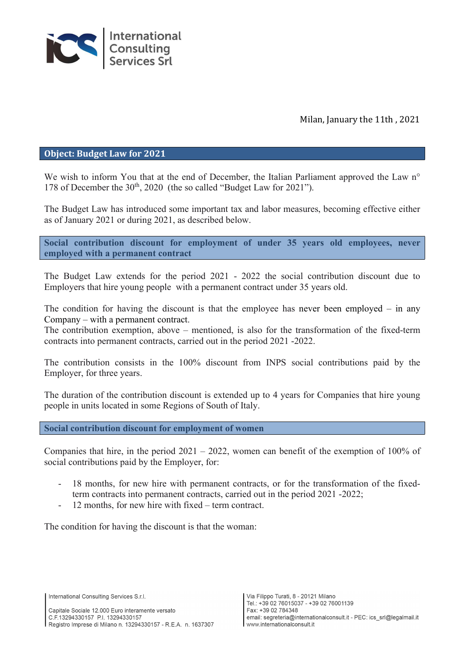

Milan, January the 11th , 2021

#### Object: Budget Law for 2021

We wish to inform You that at the end of December, the Italian Parliament approved the Law n<sup>o</sup> 178 of December the 30<sup>th</sup>, 2020 (the so called "Budget Law for 2021").

The Budget Law has introduced some important tax and labor measures, becoming effective either as of January 2021 or during 2021, as described below.

Social contribution discount for employment of under 35 years old employees, never employed with a permanent contract

The Budget Law extends for the period 2021 - 2022 the social contribution discount due to Employers that hire young people with a permanent contract under 35 years old.

The condition for having the discount is that the employee has never been employed  $-$  in any Company – with a permanent contract.

The contribution exemption, above – mentioned, is also for the transformation of the fixed-term contracts into permanent contracts, carried out in the period 2021 -2022.

The contribution consists in the 100% discount from INPS social contributions paid by the Employer, for three years.

The duration of the contribution discount is extended up to 4 years for Companies that hire young people in units located in some Regions of South of Italy.

Social contribution discount for employment of women

Companies that hire, in the period 2021 – 2022, women can benefit of the exemption of 100% of social contributions paid by the Employer, for:

- 18 months, for new hire with permanent contracts, or for the transformation of the fixedterm contracts into permanent contracts, carried out in the period 2021 -2022;
- 12 months, for new hire with fixed term contract.

The condition for having the discount is that the woman:

International Consulting Services S.r.l.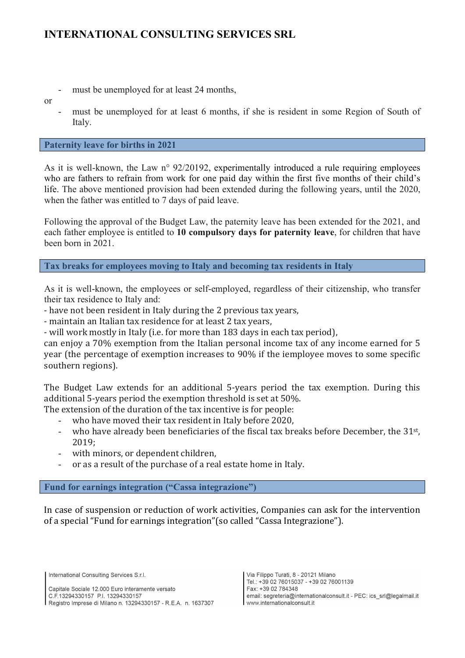- must be unemployed for at least 24 months,
- or
- must be unemployed for at least 6 months, if she is resident in some Region of South of Italy.

### Paternity leave for births in 2021

As it is well-known, the Law n° 92/20192, experimentally introduced a rule requiring employees who are fathers to refrain from work for one paid day within the first five months of their child's life. The above mentioned provision had been extended during the following years, until the 2020, when the father was entitled to 7 days of paid leave.

Following the approval of the Budget Law, the paternity leave has been extended for the 2021, and each father employee is entitled to 10 compulsory days for paternity leave, for children that have been born in 2021.

Tax breaks for employees moving to Italy and becoming tax residents in Italy

As it is well-known, the employees or self-employed, regardless of their citizenship, who transfer their tax residence to Italy and:

- have not been resident in Italy during the 2 previous tax years,

- maintain an Italian tax residence for at least 2 tax years,

- will work mostly in Italy (i.e. for more than 183 days in each tax period),

can enjoy a 70% exemption from the Italian personal income tax of any income earned for 5 year (the percentage of exemption increases to 90% if the iemployee moves to some specific southern regions).

The Budget Law extends for an additional 5-years period the tax exemption. During this additional 5-years period the exemption threshold is set at 50%.

The extension of the duration of the tax incentive is for people:

- who have moved their tax resident in Italy before 2020,
- who have already been beneficiaries of the fiscal tax breaks before December, the 31<sup>st</sup>, 2019;
- with minors, or dependent children,
- or as a result of the purchase of a real estate home in Italy.

### Fund for earnings integration ("Cassa integrazione")

In case of suspension or reduction of work activities, Companies can ask for the intervention of a special "Fund for earnings integration"(so called "Cassa Integrazione").

International Consulting Services S.r.l.

Capitale Sociale 12.000 Euro interamente versato C.F.13294330157 P.I. 13294330157 Registro Imprese di Milano n. 13294330157 - R.E.A. n. 1637307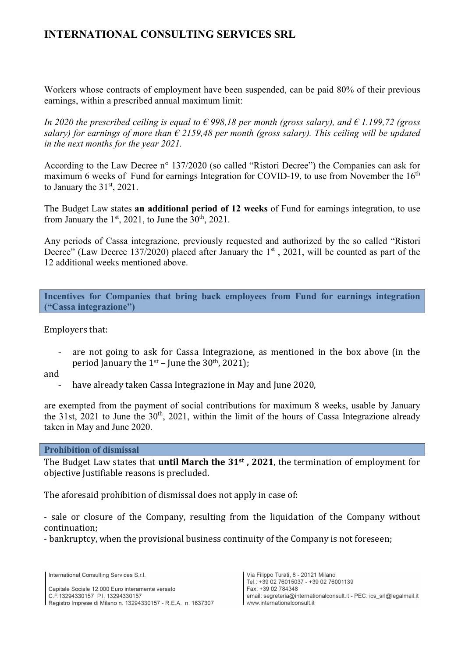# INTERNATIONAL CONSULTING SERVICES SRL

Workers whose contracts of employment have been suspended, can be paid 80% of their previous earnings, within a prescribed annual maximum limit:

In 2020 the prescribed ceiling is equal to  $\epsilon$  998,18 per month (gross salary), and  $\epsilon$  1.199,72 (gross salary) for earnings of more than  $\epsilon$  2159.48 per month (gross salary). This ceiling will be updated in the next months for the year 2021.

According to the Law Decree n° 137/2020 (so called "Ristori Decree") the Companies can ask for maximum 6 weeks of Fund for earnings Integration for COVID-19, to use from November the  $16<sup>th</sup>$ to January the  $31<sup>st</sup>$ , 2021.

The Budget Law states an additional period of 12 weeks of Fund for earnings integration, to use from January the  $1<sup>st</sup>$ , 2021, to June the  $30<sup>th</sup>$ , 2021.

Any periods of Cassa integrazione, previously requested and authorized by the so called "Ristori Decree" (Law Decree 137/2020) placed after January the  $1<sup>st</sup>$ , 2021, will be counted as part of the 12 additional weeks mentioned above.

Incentives for Companies that bring back employees from Fund for earnings integration ("Cassa integrazione")

Employers that:

- are not going to ask for Cassa Integrazione, as mentioned in the box above (in the period January the  $1<sup>st</sup>$  – June the 30<sup>th</sup>, 2021);
- and
	- have already taken Cassa Integrazione in May and June 2020,

are exempted from the payment of social contributions for maximum 8 weeks, usable by January the 31st, 2021 to June the  $30<sup>th</sup>$ , 2021, within the limit of the hours of Cassa Integrazione already taken in May and June 2020.

Prohibition of dismissal

The Budget Law states that **until March the 31st**, 2021, the termination of employment for objective Justifiable reasons is precluded.

The aforesaid prohibition of dismissal does not apply in case of:

- sale or closure of the Company, resulting from the liquidation of the Company without continuation;

- bankruptcy, when the provisional business continuity of the Company is not foreseen;

International Consulting Services S.r.l.

Capitale Sociale 12.000 Euro interamente versato C.F.13294330157 P.I. 13294330157 Registro Imprese di Milano n. 13294330157 - R.E.A. n. 1637307

Via Filippo Turati, 8 - 20121 Milano Tel.: +39 02 76015037 - +39 02 76001139 Fax: +39.02.784348 email: segreteria@internationalconsult.it - PEC: ics\_srl@legalmail.it www.internationalconsult.it